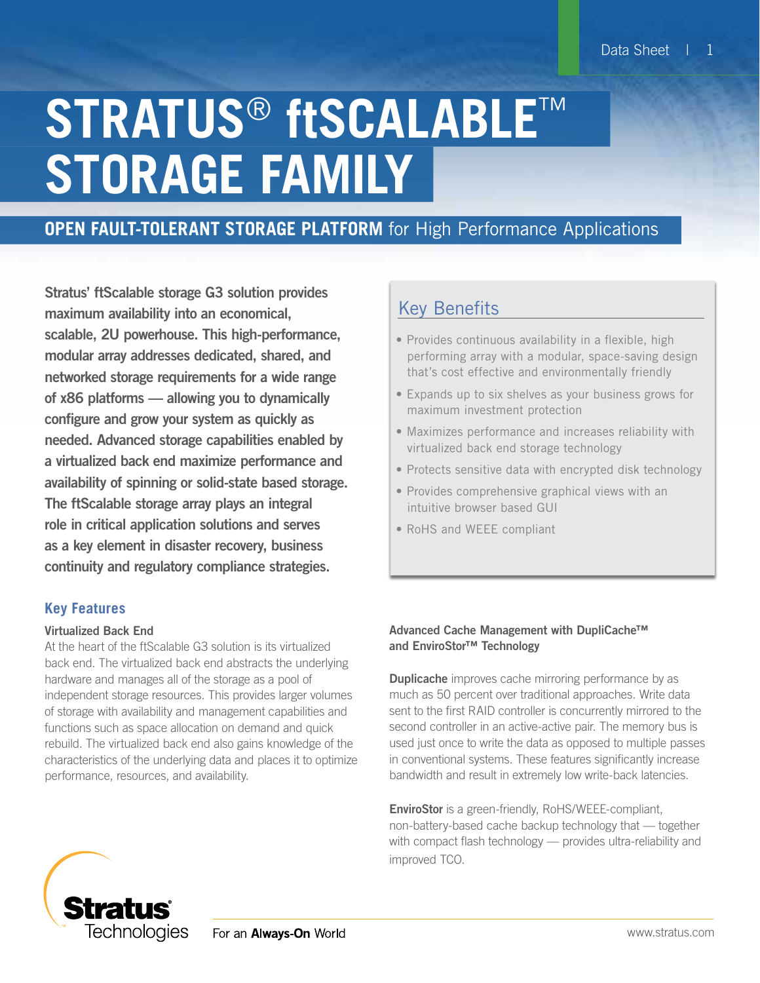# **STRATUS**® **ftSCALABLE**™ **STORAGE FAMILY**

# **OPEN FAULT-TOLERANT STORAGE PLATFORM** for High Performance Applications

Stratus' ftScalable storage G3 solution provides maximum availability into an economical, scalable, 2U powerhouse. This high-performance, modular array addresses dedicated, shared, and networked storage requirements for a wide range of x86 platforms — allowing you to dynamically configure and grow your system as quickly as needed. Advanced storage capabilities enabled by a virtualized back end maximize performance and availability of spinning or solid-state based storage. The ftScalable storage array plays an integral role in critical application solutions and serves as a key element in disaster recovery, business continuity and regulatory compliance strategies.

### **Key Features**

#### Virtualized Back End

At the heart of the ftScalable G3 solution is its virtualized back end. The virtualized back end abstracts the underlying hardware and manages all of the storage as a pool of independent storage resources. This provides larger volumes of storage with availability and management capabilities and functions such as space allocation on demand and quick rebuild. The virtualized back end also gains knowledge of the characteristics of the underlying data and places it to optimize performance, resources, and availability.

## Key Benefits

- Provides continuous availability in a flexible, high performing array with a modular, space-saving design that's cost effective and environmentally friendly
- Expands up to six shelves as your business grows for maximum investment protection
- Maximizes performance and increases reliability with virtualized back end storage technology
- Protects sensitive data with encrypted disk technology
- Provides comprehensive graphical views with an intuitive browser based GUI
- RoHS and WEEE compliant

#### Advanced Cache Management with DupliCache™ and EnviroStor™ Technology

**Duplicache** improves cache mirroring performance by as much as 50 percent over traditional approaches. Write data sent to the first RAID controller is concurrently mirrored to the second controller in an active-active pair. The memory bus is used just once to write the data as opposed to multiple passes in conventional systems. These features significantly increase bandwidth and result in extremely low write-back latencies.

**EnviroStor** is a green-friendly, RoHS/WEEE-compliant, non-battery-based cache backup technology that — together with compact flash technology — provides ultra-reliability and improved TCO.